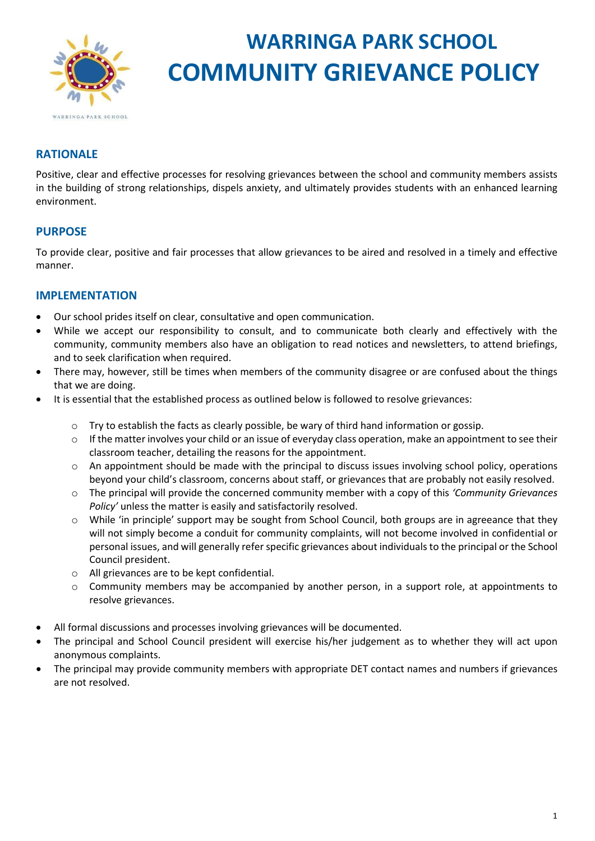

# **WARRINGA PARK SCHOOL COMMUNITY GRIEVANCE POLICY**

## **RATIONALE**

Positive, clear and effective processes for resolving grievances between the school and community members assists in the building of strong relationships, dispels anxiety, and ultimately provides students with an enhanced learning environment.

#### **PURPOSE**

To provide clear, positive and fair processes that allow grievances to be aired and resolved in a timely and effective manner.

#### **IMPLEMENTATION**

- Our school prides itself on clear, consultative and open communication.
- While we accept our responsibility to consult, and to communicate both clearly and effectively with the community, community members also have an obligation to read notices and newsletters, to attend briefings, and to seek clarification when required.
- There may, however, still be times when members of the community disagree or are confused about the things that we are doing.
- It is essential that the established process as outlined below is followed to resolve grievances:
	- $\circ$  Try to establish the facts as clearly possible, be wary of third hand information or gossip.
	- $\circ$  If the matter involves your child or an issue of everyday class operation, make an appointment to see their classroom teacher, detailing the reasons for the appointment.
	- o An appointment should be made with the principal to discuss issues involving school policy, operations beyond your child's classroom, concerns about staff, or grievances that are probably not easily resolved.
	- o The principal will provide the concerned community member with a copy of this *'Community Grievances Policy'* unless the matter is easily and satisfactorily resolved.
	- $\circ$  While 'in principle' support may be sought from School Council, both groups are in agreeance that they will not simply become a conduit for community complaints, will not become involved in confidential or personal issues, and will generally refer specific grievances about individuals to the principal or the School Council president.
	- o All grievances are to be kept confidential.
	- $\circ$  Community members may be accompanied by another person, in a support role, at appointments to resolve grievances.
- All formal discussions and processes involving grievances will be documented.
- The principal and School Council president will exercise his/her judgement as to whether they will act upon anonymous complaints.
- The principal may provide community members with appropriate DET contact names and numbers if grievances are not resolved.